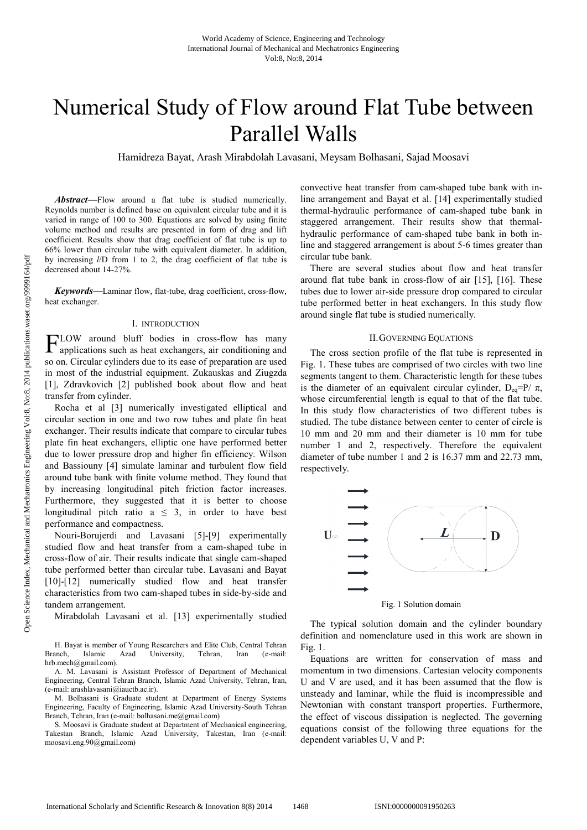# Numerical Study of Flow around Flat Tube between Parallel Walls

Hamidreza Bayat, Arash Mirabdolah Lavasani, Meysam Bolhasani, Sajad Moosavi

*Abstract***—**Flow around a flat tube is studied numerically. Reynolds number is defined base on equivalent circular tube and it is varied in range of 100 to 300. Equations are solved by using finite volume method and results are presented in form of drag and lift coefficient. Results show that drag coefficient of flat tube is up to 66% lower than circular tube with equivalent diameter. In addition, by increasing *l*/D from 1 to 2, the drag coefficient of flat tube is decreased about 14-27%.

*Keywords***—**Laminar flow, flat-tube, drag coefficient, cross-flow, heat exchanger.

### I. INTRODUCTION

FLOW around bluff bodies in cross-flow has many applications such as heat exchangers, air conditioning and applications such as heat exchangers, air conditioning and so on. Circular cylinders due to its ease of preparation are used in most of the industrial equipment. Zukauskas and Ziugzda [1], Zdravkovich [2] published book about flow and heat transfer from cylinder.

Rocha et al [3] numerically investigated elliptical and circular section in one and two row tubes and plate fin heat exchanger. Their results indicate that compare to circular tubes plate fin heat exchangers, elliptic one have performed better due to lower pressure drop and higher fin efficiency. Wilson and Bassiouny [4] simulate laminar and turbulent flow field around tube bank with finite volume method. They found that by increasing longitudinal pitch friction factor increases. Furthermore, they suggested that it is better to choose longitudinal pitch ratio  $a \leq 3$ , in order to have best performance and compactness.

Nouri-Borujerdi and Lavasani [5]-[9] experimentally studied flow and heat transfer from a cam-shaped tube in cross-flow of air. Their results indicate that single cam-shaped tube performed better than circular tube. Lavasani and Bayat [10]-[12] numerically studied flow and heat transfer characteristics from two cam-shaped tubes in side-by-side and tandem arrangement.

Mirabdolah Lavasani et al. [13] experimentally studied

M. Bolhasani is Graduate student at Department of Energy Systems Engineering, Faculty of Engineering, Islamic Azad University-South Tehran Branch, Tehran, Iran (e-mail: bolhasani.me@gmail.com)

S. Moosavi is Graduate student at Department of Mechanical engineering, Takestan Branch, Islamic Azad University, Takestan, Iran (e-mail: moosavi.eng.90@gmail.com)

convective heat transfer from cam-shaped tube bank with inline arrangement and Bayat et al. [14] experimentally studied thermal-hydraulic performance of cam-shaped tube bank in staggered arrangement. Their results show that thermalhydraulic performance of cam-shaped tube bank in both inline and staggered arrangement is about 5-6 times greater than circular tube bank.

There are several studies about flow and heat transfer around flat tube bank in cross-flow of air [15], [16]. These tubes due to lower air-side pressure drop compared to circular tube performed better in heat exchangers. In this study flow around single flat tube is studied numerically.

### II.GOVERNING EQUATIONS

The cross section profile of the flat tube is represented in Fig. 1. These tubes are comprised of two circles with two line segments tangent to them. Characteristic length for these tubes is the diameter of an equivalent circular cylinder,  $D_{eq}=P/\pi$ , whose circumferential length is equal to that of the flat tube. In this study flow characteristics of two different tubes is studied. The tube distance between center to center of circle is 10 mm and 20 mm and their diameter is 10 mm for tube number 1 and 2, respectively. Therefore the equivalent diameter of tube number 1 and 2 is 16.37 mm and 22.73 mm, respectively.





The typical solution domain and the cylinder boundary definition and nomenclature used in this work are shown in Fig. 1.

Equations are written for conservation of mass and momentum in two dimensions. Cartesian velocity components U and V are used, and it has been assumed that the flow is unsteady and laminar, while the fluid is incompressible and Newtonian with constant transport properties. Furthermore, the effect of viscous dissipation is neglected. The governing equations consist of the following three equations for the dependent variables U, V and P:

H. Bayat is member of Young Researchers and Elite Club, Central Tehran Branch, Islamic Azad University, Tehran, Iran (e-mail: hrb.mech@gmail.com).

A. M. Lavasani is Assistant Professor of Department of Mechanical Engineering, Central Tehran Branch, Islamic Azad University, Tehran, Iran, (e-mail: arashlavasani@iauctb.ac.ir).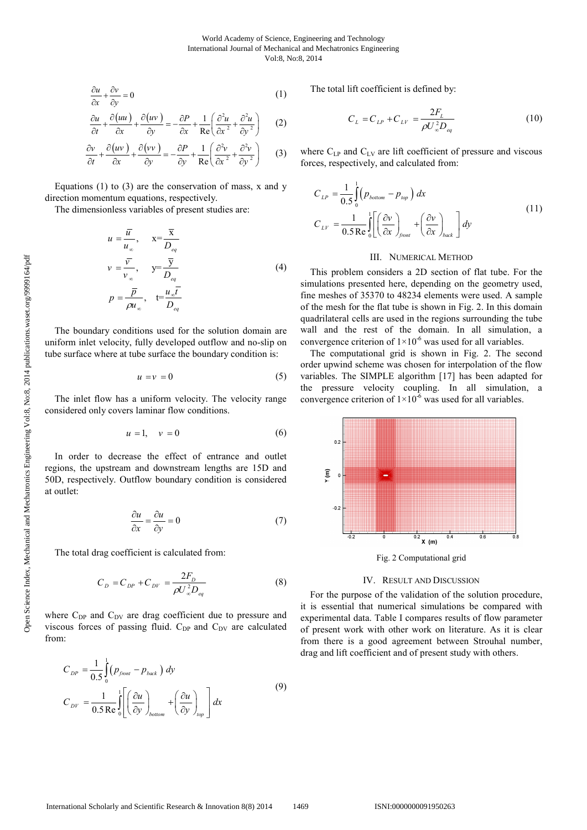$$
\frac{\partial u}{\partial x} + \frac{\partial v}{\partial y} = 0\tag{1}
$$

$$
\frac{\partial u}{\partial t} + \frac{\partial (uu)}{\partial x} + \frac{\partial (uv)}{\partial y} = -\frac{\partial P}{\partial x} + \frac{1}{\text{Re}} \left( \frac{\partial^2 u}{\partial x^2} + \frac{\partial^2 u}{\partial y^2} \right) \tag{2}
$$

$$
\frac{\partial v}{\partial t} + \frac{\partial (uv)}{\partial x} + \frac{\partial (vv)}{\partial y} = -\frac{\partial P}{\partial y} + \frac{1}{\text{Re}} \left( \frac{\partial^2 v}{\partial x^2} + \frac{\partial^2 v}{\partial y^2} \right) \tag{3}
$$

Equations  $(1)$  to  $(3)$  are the conservation of mass, x and y direction momentum equations, respectively.

The dimensionless variables of present studies are:

$$
u = \frac{\overline{u}}{u_{\infty}}, \quad x = \frac{\overline{x}}{D_{eq}}
$$
  

$$
v = \frac{\overline{v}}{v_{\infty}}, \quad y = \frac{\overline{y}}{D_{eq}}
$$
  

$$
p = \frac{\overline{p}}{\rho u_{\infty}}, \quad t = \frac{u_{\infty} \overline{t}}{D_{eq}}
$$
 (4)

The boundary conditions used for the solution domain are uniform inlet velocity, fully developed outflow and no-slip on tube surface where at tube surface the boundary condition is:

$$
u = v = 0 \tag{5}
$$

The inlet flow has a uniform velocity. The velocity range considered only covers laminar flow conditions.

$$
u = 1, \quad v = 0 \tag{6}
$$

In order to decrease the effect of entrance and outlet regions, the upstream and downstream lengths are 15D and 50D, respectively. Outflow boundary condition is considered at outlet:

$$
\frac{\partial u}{\partial x} = \frac{\partial u}{\partial y} = 0\tag{7}
$$

The total drag coefficient is calculated from:

$$
C_{D} = C_{DP} + C_{DV} = \frac{2F_D}{\rho U_{\infty}^2 D_{eq}} \tag{8}
$$

where  $C_{DP}$  and  $C_{DV}$  are drag coefficient due to pressure and viscous forces of passing fluid. C<sub>DP</sub> and C<sub>DV</sub> are calculated from:

$$
C_{DP} = \frac{1}{0.5} \int_{0}^{1} (p_{front} - p_{back}) dy
$$
  
\n
$$
C_{DY} = \frac{1}{0.5 \text{ Re } 0} \int_{0}^{1} \left[ \left( \frac{\partial u}{\partial y} \right)_{bottom} + \left( \frac{\partial u}{\partial y} \right)_{top} \right] dx
$$
\n(9)

The total lift coefficient is defined by:

$$
C_{L} = C_{LP} + C_{LV} = \frac{2F_{L}}{\rho U_{\infty}^{2} D_{eq}} \tag{10}
$$

where  $C_{LP}$  and  $C_{LV}$  are lift coefficient of pressure and viscous forces, respectively, and calculated from:

$$
C_{LP} = \frac{1}{0.5} \int_{0}^{1} \left( p_{bottom} - p_{top} \right) dx
$$
  
\n
$$
C_{LV} = \frac{1}{0.5 \text{ Re}} \int_{0}^{1} \left[ \left( \frac{\partial v}{\partial x} \right)_{\text{front}} + \left( \frac{\partial v}{\partial x} \right)_{\text{back}} \right] dy
$$
\n(11)

#### III. NUMERICAL METHOD

This problem considers a 2D section of flat tube. For the simulations presented here, depending on the geometry used, fine meshes of 35370 to 48234 elements were used. A sample of the mesh for the flat tube is shown in Fig. 2. In this domain quadrilateral cells are used in the regions surrounding the tube wall and the rest of the domain. In all simulation, a convergence criterion of  $1\times10^{-6}$  was used for all variables.

The computational grid is shown in Fig. 2. The second order upwind scheme was chosen for interpolation of the flow variables. The SIMPLE algorithm [17] has been adapted for the pressure velocity coupling. In all simulation, a convergence criterion of  $1 \times 10^{-6}$  was used for all variables.



IV. RESULT AND DISCUSSION

For the purpose of the validation of the solution procedure, it is essential that numerical simulations be compared with experimental data. Table I compares results of flow parameter of present work with other work on literature. As it is clear from there is a good agreement between Strouhal number, drag and lift coefficient and of present study with others.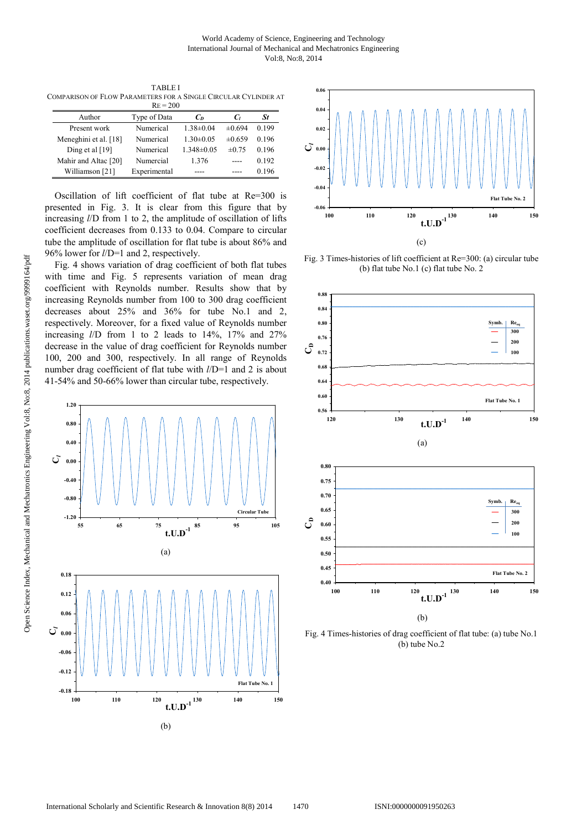TABLE I COMPARISON OF FLOW PARAMETERS FOR A SINGLE CIRCULAR CYLINDER AT

| $RE = 200$            |              |                  |             |       |
|-----------------------|--------------|------------------|-------------|-------|
| Author                | Type of Data | C <sub>D</sub>   | Cı          | St    |
| Present work          | Numerical    | $1.38 \pm 0.04$  | $\pm 0.694$ | 0.199 |
| Meneghini et al. [18] | Numerical    | $1.30 \pm 0.05$  | $\pm 0.659$ | 0.196 |
| Ding et al $[19]$     | Numerical    | $1.348 \pm 0.05$ | $\pm 0.75$  | 0.196 |
| Mahir and Altac [20]  | Numercial    | 1.376            |             | 0.192 |
| Williamson [21]       | Experimental |                  |             | 0.196 |

Oscillation of lift coefficient of flat tube at Re=300 is presented in Fig. 3. It is clear from this figure that by increasing *l*/D from 1 to 2, the amplitude of oscillation of lifts coefficient decreases from 0.133 to 0.04. Compare to circular tube the amplitude of oscillation for flat tube is about 86% and 96% lower for *l*/D=1 and 2, respectively.

Fig. 4 shows variation of drag coefficient of both flat tubes with time and Fig. 5 represents variation of mean drag coefficient with Reynolds number. Results show that by increasing Reynolds number from 100 to 300 drag coefficient decreases about 25% and 36% for tube No.1 and 2, respectively. Moreover, for a fixed value of Reynolds number increasing *l*/D from 1 to 2 leads to 14%, 17% and 27% decrease in the value of drag coefficient for Reynolds number 100, 200 and 300, respectively. In all range of Reynolds number drag coefficient of flat tube with *l*/D=1 and 2 is about 41-54% and 50-66% lower than circular tube, respectively.





Fig. 3 Times-histories of lift coefficient at Re=300: (a) circular tube (b) flat tube No.1 (c) flat tube No. 2



Fig. 4 Times-histories of drag coefficient of flat tube: (a) tube No.1 (b) tube No.2